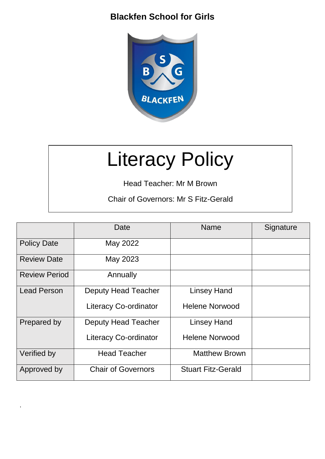

# Literacy Policy

Head Teacher: Mr M Brown

Chair of Governors: Mr S Fitz-Gerald

|                      | Date                         | <b>Name</b>               | Signature |
|----------------------|------------------------------|---------------------------|-----------|
| <b>Policy Date</b>   | May 2022                     |                           |           |
| <b>Review Date</b>   | May 2023                     |                           |           |
| <b>Review Period</b> | Annually                     |                           |           |
| <b>Lead Person</b>   | <b>Deputy Head Teacher</b>   | <b>Linsey Hand</b>        |           |
|                      | <b>Literacy Co-ordinator</b> | <b>Helene Norwood</b>     |           |
| Prepared by          | Deputy Head Teacher          | <b>Linsey Hand</b>        |           |
|                      | <b>Literacy Co-ordinator</b> | <b>Helene Norwood</b>     |           |
| Verified by          | <b>Head Teacher</b>          | <b>Matthew Brown</b>      |           |
| Approved by          | <b>Chair of Governors</b>    | <b>Stuart Fitz-Gerald</b> |           |

.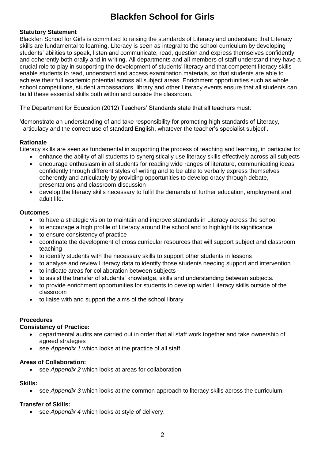#### **Statutory Statement**

Blackfen School for Girls is committed to raising the standards of Literacy and understand that Literacy skills are fundamental to learning. Literacy is seen as integral to the school curriculum by developing students' abilities to speak, listen and communicate, read, question and express themselves confidently and coherently both orally and in writing. All departments and all members of staff understand they have a crucial role to play in supporting the development of students' literacy and that competent literacy skills enable students to read, understand and access examination materials, so that students are able to achieve their full academic potential across all subject areas. Enrichment opportunities such as whole school competitions, student ambassadors, library and other Literacy events ensure that all students can build these essential skills both within and outside the classroom.

The Department for Education (2012) Teachers' Standards state that all teachers must:

'demonstrate an understanding of and take responsibility for promoting high standards of Literacy, articulacy and the correct use of standard English, whatever the teacher's specialist subject'.

#### **Rationale**

Literacy skills are seen as fundamental in supporting the process of teaching and learning, in particular to:

- enhance the ability of all students to synergistically use literacy skills effectively across all subjects
- encourage enthusiasm in all students for reading wide ranges of literature, communicating ideas confidently through different styles of writing and to be able to verbally express themselves coherently and articulately by providing opportunities to develop oracy through debate, presentations and classroom discussion
- develop the literacy skills necessary to fulfil the demands of further education, employment and adult life.

#### **Outcomes**

- to have a strategic vision to maintain and improve standards in Literacy across the school
- to encourage a high profile of Literacy around the school and to highlight its significance
- to ensure consistency of practice
- coordinate the development of cross curricular resources that will support subject and classroom teaching
- to identify students with the necessary skills to support other students in lessons
- to analyse and review Literacy data to identify those students needing support and intervention
- to indicate areas for collaboration between subjects
- to assist the transfer of students' knowledge, skills and understanding between subjects.
- to provide enrichment opportunities for students to develop wider Literacy skills outside of the classroom
- to liaise with and support the aims of the school library

# **Procedures**

#### **Consistency of Practice:**

- departmental audits are carried out in order that all staff work together and take ownership of agreed strategies
- see *Appendix 1* which looks at the practice of all staff.

#### **Areas of Collaboration:**

see *Appendix 2* which looks at areas for collaboration.

#### **Skills:**

• see *Appendix 3* which looks at the common approach to literacy skills across the curriculum.

# **Transfer of Skills:**

• see *Appendix 4* which looks at style of delivery.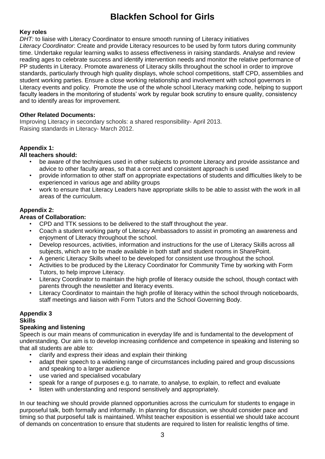#### **Key roles**

*DHT:* to liaise with Literacy Coordinator to ensure smooth running of Literacy initiatives *Literacy Coordinator*: Create and provide Literacy resources to be used by form tutors during community time. Undertake regular learning walks to assess effectiveness in raising standards. Analyse and review reading ages to celebrate success and identify intervention needs and monitor the relative performance of PP students in Literacy. Promote awareness of Literacy skills throughout the school in order to improve standards, particularly through high quality displays, whole school competitions, staff CPD, assemblies and student working parties. Ensure a close working relationship and involvement with school governors in Literacy events and policy. Promote the use of the whole school Literacy marking code, helping to support faculty leaders in the monitoring of students' work by regular book scrutiny to ensure quality, consistency and to identify areas for improvement.

#### **Other Related Documents:**

Improving Literacy in secondary schools: a shared responsibility- April 2013. Raising standards in Literacy- March 2012.

# **Appendix 1:**

#### **All teachers should:**

- be aware of the techniques used in other subjects to promote Literacy and provide assistance and advice to other faculty areas, so that a correct and consistent approach is used
- provide information to other staff on appropriate expectations of students and difficulties likely to be experienced in various age and ability groups
- work to ensure that Literacy Leaders have appropriate skills to be able to assist with the work in all areas of the curriculum.

# **Appendix 2:**

# **Areas of Collaboration:**

- CPD and TTK sessions to be delivered to the staff throughout the year.
- Coach a student working party of Literacy Ambassadors to assist in promoting an awareness and enjoyment of Literacy throughout the school.
- Develop resources, activities, information and instructions for the use of Literacy Skills across all subjects, which are to be made available in both staff and student rooms in SharePoint.
- A generic Literacy Skills wheel to be developed for consistent use throughout the school.
- Activities to be produced by the Literacy Coordinator for Community Time by working with Form Tutors, to help improve Literacy.
- Literacy Coordinator to maintain the high profile of literacy outside the school, though contact with parents through the newsletter and literacy events.
- Literacy Coordinator to maintain the high profile of literacy within the school through noticeboards, staff meetings and liaison with Form Tutors and the School Governing Body.

# **Appendix 3**

## **Skills**

# **Speaking and listening**

Speech is our main means of communication in everyday life and is fundamental to the development of understanding. Our aim is to develop increasing confidence and competence in speaking and listening so that all students are able to:

- clarify and express their ideas and explain their thinking
- adapt their speech to a widening range of circumstances including paired and group discussions and speaking to a larger audience
- use varied and specialised vocabulary
- speak for a range of purposes e.g. to narrate, to analyse, to explain, to reflect and evaluate
- listen with understanding and respond sensitively and appropriately.

In our teaching we should provide planned opportunities across the curriculum for students to engage in purposeful talk, both formally and informally. In planning for discussion, we should consider pace and timing so that purposeful talk is maintained. Whilst teacher exposition is essential we should take account of demands on concentration to ensure that students are required to listen for realistic lengths of time.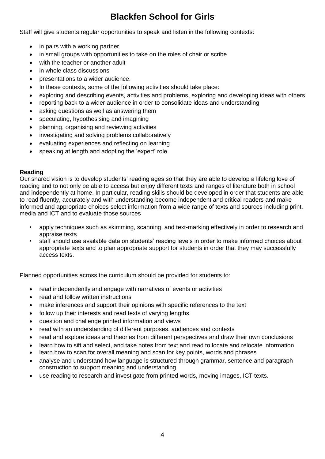Staff will give students regular opportunities to speak and listen in the following contexts:

- in pairs with a working partner
- in small groups with opportunities to take on the roles of chair or scribe
- with the teacher or another adult
- in whole class discussions
- presentations to a wider audience.
- In these contexts, some of the following activities should take place:
- exploring and describing events, activities and problems, exploring and developing ideas with others
- reporting back to a wider audience in order to consolidate ideas and understanding
- asking questions as well as answering them
- speculating, hypothesising and imagining
- planning, organising and reviewing activities
- investigating and solving problems collaboratively
- evaluating experiences and reflecting on learning
- speaking at length and adopting the 'expert' role.

#### **Reading**

Our shared vision is to develop students' reading ages so that they are able to develop a lifelong love of reading and to not only be able to access but enjoy different texts and ranges of literature both in school and independently at home. In particular, reading skills should be developed in order that students are able to read fluently, accurately and with understanding become independent and critical readers and make informed and appropriate choices select information from a wide range of texts and sources including print, media and ICT and to evaluate those sources

- apply techniques such as skimming, scanning, and text-marking effectively in order to research and appraise texts
- staff should use available data on students' reading levels in order to make informed choices about appropriate texts and to plan appropriate support for students in order that they may successfully access texts.

Planned opportunities across the curriculum should be provided for students to:

- read independently and engage with narratives of events or activities
- read and follow written instructions
- make inferences and support their opinions with specific references to the text
- follow up their interests and read texts of varying lengths
- question and challenge printed information and views
- read with an understanding of different purposes, audiences and contexts
- read and explore ideas and theories from different perspectives and draw their own conclusions
- learn how to sift and select, and take notes from text and read to locate and relocate information
- learn how to scan for overall meaning and scan for key points, words and phrases
- analyse and understand how language is structured through grammar, sentence and paragraph construction to support meaning and understanding
- use reading to research and investigate from printed words, moving images, ICT texts.